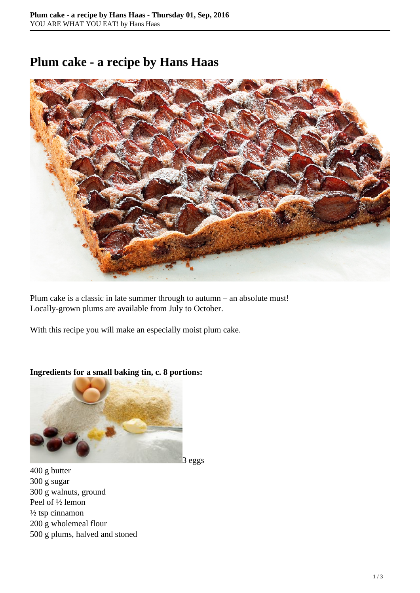## **Plum cake - a recipe by Hans Haas**



Plum cake is a classic in late summer through to autumn – an absolute must! Locally-grown plums are available from July to October.

With this recipe you will make an especially moist plum cake.



## **Ingredients for a small baking tin, c. 8 portions:**

400 g butter 300 g sugar 300 g walnuts, ground Peel of ½ lemon ½ tsp cinnamon 200 g wholemeal flour 500 g plums, halved and stoned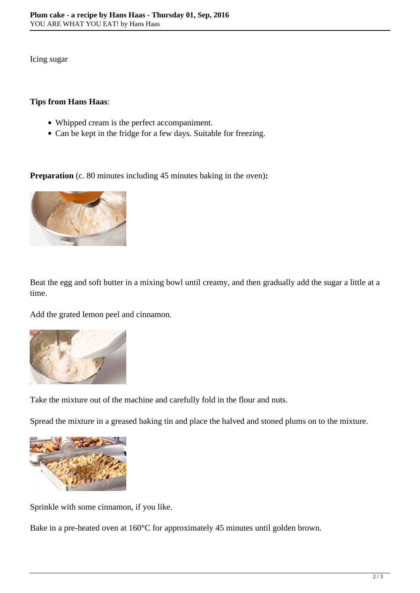Icing sugar

## **Tips from Hans Haas**:

- Whipped cream is the perfect accompaniment.
- Can be kept in the fridge for a few days. Suitable for freezing.

**Preparation** (c. 80 minutes including 45 minutes baking in the oven):



Beat the egg and soft butter in a mixing bowl until creamy, and then gradually add the sugar a little at a time.

Add the grated lemon peel and cinnamon.



Take the mixture out of the machine and carefully fold in the flour and nuts.

Spread the mixture in a greased baking tin and place the halved and stoned plums on to the mixture.



Sprinkle with some cinnamon, if you like.

Bake in a pre-heated oven at 160°C for approximately 45 minutes until golden brown.